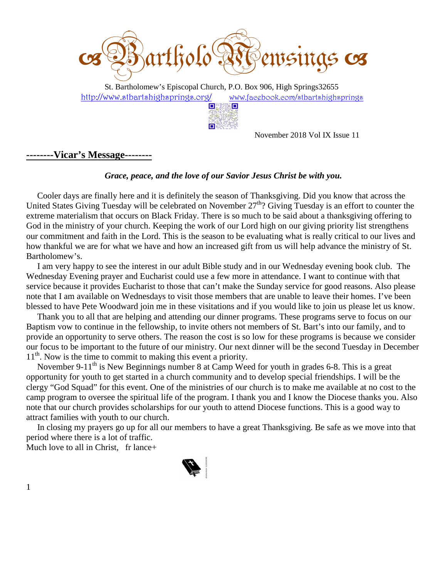

 St. Bartholomew's Episcopal Church, P.O. Box 906, High Springs32655 http://www.stbartshighsprings.org/ www.facebook.com/stbartshighsprings



November 2018 Vol IX Issue 11

#### **--------Vicar's Message--------**

#### *Grace, peace, and the love of our Savior Jesus Christ be with you.*

 Cooler days are finally here and it is definitely the season of Thanksgiving. Did you know that across the United States Giving Tuesday will be celebrated on November  $27<sup>th</sup>$ ? Giving Tuesday is an effort to counter the extreme materialism that occurs on Black Friday. There is so much to be said about a thanksgiving offering to God in the ministry of your church. Keeping the work of our Lord high on our giving priority list strengthens our commitment and faith in the Lord. This is the season to be evaluating what is really critical to our lives and how thankful we are for what we have and how an increased gift from us will help advance the ministry of St. Bartholomew's.

 I am very happy to see the interest in our adult Bible study and in our Wednesday evening book club. The Wednesday Evening prayer and Eucharist could use a few more in attendance. I want to continue with that service because it provides Eucharist to those that can't make the Sunday service for good reasons. Also please note that I am available on Wednesdays to visit those members that are unable to leave their homes. I've been blessed to have Pete Woodward join me in these visitations and if you would like to join us please let us know.

 Thank you to all that are helping and attending our dinner programs. These programs serve to focus on our Baptism vow to continue in the fellowship, to invite others not members of St. Bart's into our family, and to provide an opportunity to serve others. The reason the cost is so low for these programs is because we consider our focus to be important to the future of our ministry. Our next dinner will be the second Tuesday in December  $11<sup>th</sup>$ . Now is the time to commit to making this event a priority.

November 9-11<sup>th</sup> is New Beginnings number 8 at Camp Weed for youth in grades 6-8. This is a great opportunity for youth to get started in a church community and to develop special friendships. I will be the clergy "God Squad" for this event. One of the ministries of our church is to make me available at no cost to the camp program to oversee the spiritual life of the program. I thank you and I know the Diocese thanks you. Also note that our church provides scholarships for our youth to attend Diocese functions. This is a good way to attract families with youth to our church.

 In closing my prayers go up for all our members to have a great Thanksgiving. Be safe as we move into that period where there is a lot of traffic.

Much love to all in Christ, fr lance+

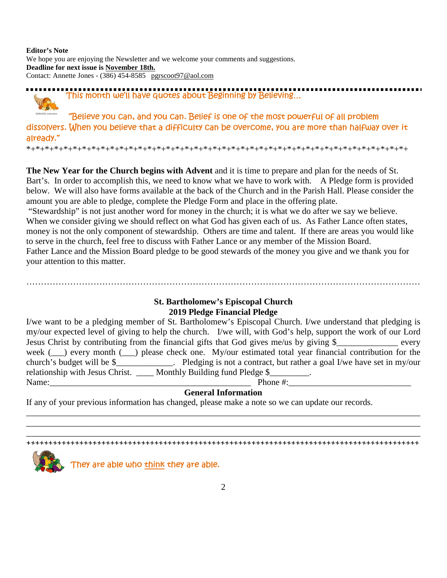**Editor's Note** We hope you are enjoying the Newsletter and we welcome your comments and suggestions. **Deadline for next issue is November 18th.** Contact: Annette Jones - (386) 454-8585 pgrscoot97@aol.com



This month we'll have quotes about Beginning by Believing…

 "Believe you can, and you can. Belief is one of the most powerful of all problem dissolvers. When you believe that a difficulty can be overcome, you are more than halfway over it already."

\*+\*+\*+\*+\*+\*+\*+\*+\*+\*+\*+\*+\*+\*+\*+\*+\*+\*+\*+\*+\*+\*+\*+\*+\*+\*+\*+\*+\*+\*+\*+\*+\*+\*+\*+\*+\*+\*+\*+\*+\*+

**The New Year for the Church begins with Advent** and it is time to prepare and plan for the needs of St. Bart's. In order to accomplish this, we need to know what we have to work with. A Pledge form is provided below. We will also have forms available at the back of the Church and in the Parish Hall. Please consider the amount you are able to pledge, complete the Pledge Form and place in the offering plate.

 "Stewardship" is not just another word for money in the church; it is what we do after we say we believe. When we consider giving we should reflect on what God has given each of us. As Father Lance often states, money is not the only component of stewardship. Others are time and talent. If there are areas you would like to serve in the church, feel free to discuss with Father Lance or any member of the Mission Board. Father Lance and the Mission Board pledge to be good stewards of the money you give and we thank you for your attention to this matter.

> **St. Bartholomew's Episcopal Church 2019 Pledge Financial Pledge**

………………………………………………………………………………………………………………………

I/we want to be a pledging member of St. Bartholomew's Episcopal Church. I/we understand that pledging is my/our expected level of giving to help the church. I/we will, with God's help, support the work of our Lord Jesus Christ by contributing from the financial gifts that God gives me/us by giving \$ week ( $\Box$ ) every month ( $\Box$ ) please check one. My/our estimated total year financial contribution for the church's budget will be \$\_\_\_\_\_\_\_\_\_\_\_\_\_. Pledging is not a contract, but rather a goal I/we have set in my/our relationship with Jesus Christ. Monthly Building fund Pledge \$ Name: The example of the state of the state of the state of the state  $P$  phone #:

#### **General Information**

\_\_\_\_\_\_\_\_\_\_\_\_\_\_\_\_\_\_\_\_\_\_\_\_\_\_\_\_\_\_\_\_\_\_\_\_\_\_\_\_\_\_\_\_\_\_\_\_\_\_\_\_\_\_\_\_\_\_\_\_\_\_\_\_\_\_\_\_\_\_\_\_\_\_\_\_\_\_\_\_\_\_\_\_\_\_\_\_\_\_ \_\_\_\_\_\_\_\_\_\_\_\_\_\_\_\_\_\_\_\_\_\_\_\_\_\_\_\_\_\_\_\_\_\_\_\_\_\_\_\_\_\_\_\_\_\_\_\_\_\_\_\_\_\_\_\_\_\_\_\_\_\_\_\_\_\_\_\_\_\_\_\_\_\_\_\_\_\_\_\_\_\_\_\_\_\_\_\_\_\_ \_\_\_\_\_\_\_\_\_\_\_\_\_\_\_\_\_\_\_\_\_\_\_\_\_\_\_\_\_\_\_\_\_\_\_\_\_\_\_\_\_\_\_\_\_\_\_\_\_\_\_\_\_\_\_\_\_\_\_\_\_\_\_\_\_\_\_\_\_\_\_\_\_\_\_\_\_\_\_\_\_\_\_\_\_\_\_\_\_\_ +++++++++++++++++++++++++++++++++++++++++++++++++++++++++++++++++++++++++++++++++++++++++

If any of your previous information has changed, please make a note so we can update our records.



They are able who <u>think</u> they are able.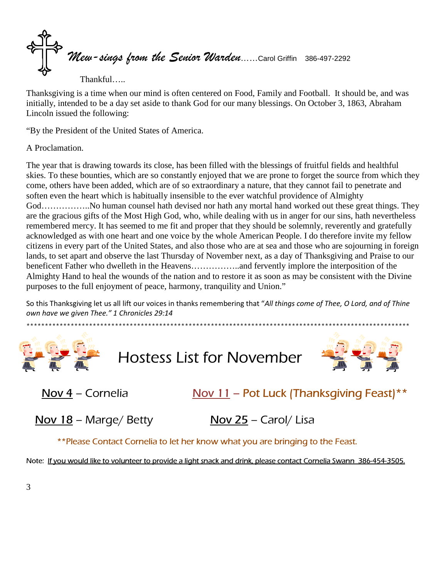Mew-sings from the Senior Warden……Carol Griffin 386-497-2292

Thankful…..

Thanksgiving is a time when our mind is often centered on Food, Family and Football. It should be, and was initially, intended to be a day set aside to thank God for our many blessings. On October 3, 1863, Abraham Lincoln issued the following:

"By the President of the United States of America.

A Proclamation.

The year that is drawing towards its close, has been filled with the blessings of fruitful fields and healthful skies. To these bounties, which are so constantly enjoyed that we are prone to forget the source from which they come, others have been added, which are of so extraordinary a nature, that they cannot fail to penetrate and soften even the heart which is habitually insensible to the ever watchful providence of Almighty God……………..No human counsel hath devised nor hath any mortal hand worked out these great things. They are the gracious gifts of the Most High God, who, while dealing with us in anger for our sins, hath nevertheless remembered mercy. It has seemed to me fit and proper that they should be solemnly, reverently and gratefully acknowledged as with one heart and one voice by the whole American People. I do therefore invite my fellow citizens in every part of the United States, and also those who are at sea and those who are sojourning in foreign lands, to set apart and observe the last Thursday of November next, as a day of Thanksgiving and Praise to our beneficent Father who dwelleth in the Heavens……………..and fervently implore the interposition of the Almighty Hand to heal the wounds of the nation and to restore it as soon as may be consistent with the Divine purposes to the full enjoyment of peace, harmony, tranquility and Union."

So this Thanksgiving let us all lift our voices in thanks remembering that "All things come of Thee, O Lord, and of Thine own have we given Thee." 1 Chronicles 29:14

\*\*\*\*\*\*\*\*\*\*\*\*\*\*\*\*\*\*\*\*\*\*\*\*\*\*\*\*\*\*\*\*\*\*\*\*\*\*\*\*\*\*\*\*\*\*\*\*\*\*\*\*\*\*\*\*\*\*\*\*\*\*\*\*\*\*\*\*\*\*\*\*\*\*\*\*\*\*\*\*\*\*\*\*\*\*\*\*\*\*\*\*\*\*\*\*\*\*\*\*\*\*\*\*







Nov 4 – Cornelia  $Nov 11$  – Pot Luck (Thanksgiving Feast)<sup>\*\*</sup>

Nov  $18$  – Marge/ Betty Nov  $25$  – Carol/ Lisa

\*\*Please Contact Cornelia to let her know what you are bringing to the Feast.

*Note: If you would like to volunteer to provide a light snack and drink, please contact Cornelia Swann 386-454-3505.*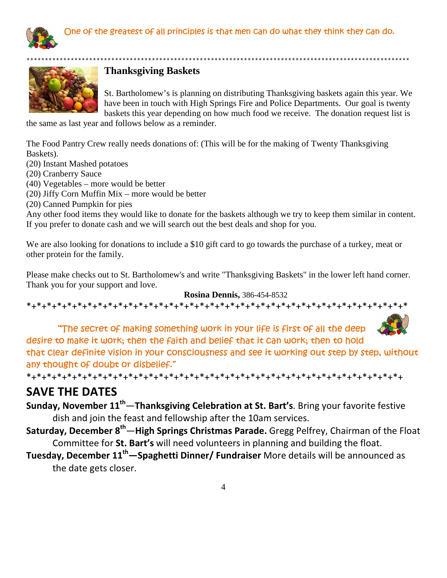

\*\*\*\*\*\*\*\*\*\*\*\*\*\*\*\*\*\*\*\*\*\*\*\*\*\*\*\*\*\*\*\*\*\*\*\*\*\*\*\*\*\*\*\*\*\*\*\*\*\*\*\*\*\*\*\*\*\*\*\*\*\*\*\*\*\*\*\*\*\*\*\*\*\*\*\*\*\*\*\*\*\*\*\*\*\*\*\*\*\*\*\*\*\*\*\*\*\*\*\*\*\*\*\*

#### **Thanksgiving Baskets**

St. Bartholomew's is planning on distributing Thanksgiving baskets again this year. We have been in touch with High Springs Fire and Police Departments. Our goal is twenty baskets this year depending on how much food we receive. The donation request list is

the same as last year and follows below as a reminder.

The Food Pantry Crew really needs donations of: (This will be for the making of Twenty Thanksgiving Baskets).

(20) Instant Mashed potatoes

(20) Cranberry Sauce

(40) Vegetables – more would be better

(20) Jiffy Corn Muffin Mix – more would be better

(20) Canned Pumpkin for pies

Any other food items they would like to donate for the baskets although we try to keep them similar in content. If you prefer to donate cash and we will search out the best deals and shop for you.

We are also looking for donations to include a \$10 gift card to go towards the purchase of a turkey, meat or other protein for the family.

Please make checks out to St. Bartholomew's and write "Thanksgiving Baskets" in the lower left hand corner. Thank you for your support and love.

#### **Rosina Dennis,** 386-454-8532 \*+\*+\*+\*+\*+\*+\*+\*+\*+\*+\*+\*+\*+\*+\*+\*+\*+\*+\*+\*+\*+\*+\*+\*+\*+\*+\*+\*+\*+\*+\*+\*+\*+\*+\*+\*+\*+\*



"The secret of making something work in your life is first of all the deep desire to make it work; then the faith and belief that it can work; then to hold

that clear definite vision in your consciousness and see it working out step by step, without any thought of doubt or disbelief."

\*+\*+\*+\*+\*+\*+\*+\*+\*+\*+\*+\*+\*+\*+\*+\*+\*+\*+\*+\*+\*+\*+\*+\*+\*+\*+\*+\*+\*+\*+\*+\*+\*+\*+\*+\*+\*+

### SAVE THE DATES

Sunday, November  $11<sup>th</sup>$ —Thanksgiving Celebration at St. Bart's. Bring your favorite festive dish and join the feast and fellowship after the 10am services.

Saturday, December  $8<sup>th</sup>$ —High Springs Christmas Parade. Gregg Pelfrey, Chairman of the Float Committee for St. Bart's will need volunteers in planning and building the float.

Tuesday, December 11<sup>th</sup>—Spaghetti Dinner/ Fundraiser More details will be announced as the date gets closer.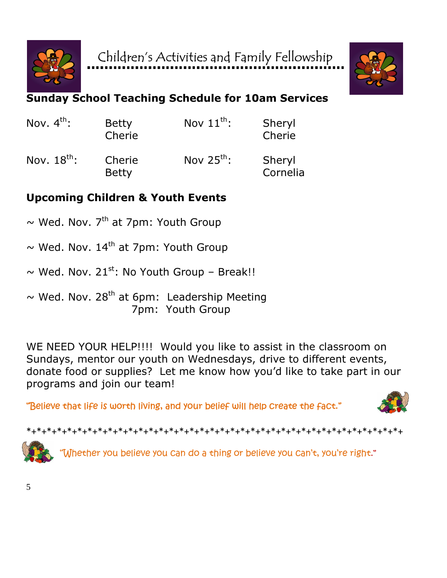

Children's Activities and Family Fellowship



## Sunday School Teaching Schedule for 10am Services

| Nov. $4^{th}$ :  | <b>Betty</b><br>Cherie | Nov $11^{\text{th}}$ : | Sheryl<br>Cherie   |
|------------------|------------------------|------------------------|--------------------|
| Nov. $18^{th}$ : | Cherie<br><b>Betty</b> | Nov $25^{th}$ :        | Sheryl<br>Cornelia |

## Upcoming Children & Youth Events

- $\sim$  Wed. Nov. 7<sup>th</sup> at 7pm: Youth Group
- $\sim$  Wed. Nov. 14<sup>th</sup> at 7pm: Youth Group
- $\sim$  Wed. Nov. 21<sup>st</sup>: No Youth Group Break!!

 $\sim$  Wed. Nov. 28<sup>th</sup> at 6pm: Leadership Meeting 7pm: Youth Group

WE NEED YOUR HELP!!!! Would you like to assist in the classroom on Sundays, mentor our youth on Wednesdays, drive to different events, donate food or supplies? Let me know how you'd like to take part in our programs and join our team!

"Believe that life is worth living, and your belief will help create the fact."



\*+\*+\*+\*+\*+\*+\*+\*+\*+\*+\*+\*+\*+\*+\*+\*+\*+\*+\*+\*+\*+\*+\*+\*+\*+\*+\*+\*+\*+\*+\*+\*+\*+\*+\*+\*+\*+



Whether you believe you can do a thing or believe you can't, you're right."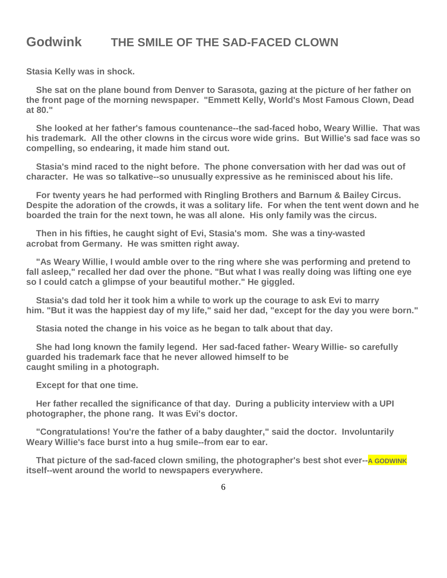## **Godwink THE SMILE OF THE SAD-FACED CLOWN**

**Stasia Kelly was in shock.**

 **She sat on the plane bound from Denver to Sarasota, gazing at the picture of her father on the front page of the morning newspaper. "Emmett Kelly, World's Most Famous Clown, Dead at 80."**

 **She looked at her father's famous countenance--the sad-faced hobo, Weary Willie. That was his trademark. All the other clowns in the circus wore wide grins. But Willie's sad face was so compelling, so endearing, it made him stand out.** 

 **Stasia's mind raced to the night before. The phone conversation with her dad was out of character. He was so talkative--so unusually expressive as he reminisced about his life.** 

 **For twenty years he had performed with Ringling Brothers and Barnum & Bailey Circus. Despite the adoration of the crowds, it was a solitary life. For when the tent went down and he boarded the train for the next town, he was all alone. His only family was the circus.**

 **Then in his fifties, he caught sight of Evi, Stasia's mom. She was a tiny-wasted acrobat from Germany. He was smitten right away.**

 **"As Weary Willie, I would amble over to the ring where she was performing and pretend to fall asleep," recalled her dad over the phone. "But what I was really doing was lifting one eye so I could catch a glimpse of your beautiful mother." He giggled.**

 **Stasia's dad told her it took him a while to work up the courage to ask Evi to marry him. "But it was the happiest day of my life," said her dad, "except for the day you were born."**

 **Stasia noted the change in his voice as he began to talk about that day.**

 **She had long known the family legend. Her sad-faced father- Weary Willie- so carefully guarded his trademark face that he never allowed himself to be caught smiling in a photograph.**

 **Except for that one time.**

 **Her father recalled the significance of that day. During a publicity interview with a UPI photographer, the phone rang. It was Evi's doctor.** 

 **"Congratulations! You're the father of a baby daughter," said the doctor. Involuntarily Weary Willie's face burst into a hug smile--from ear to ear.**

 **That picture of the sad-faced clown smiling, the photographer's best shot ever--A GODWINK itself--went around the world to newspapers everywhere.**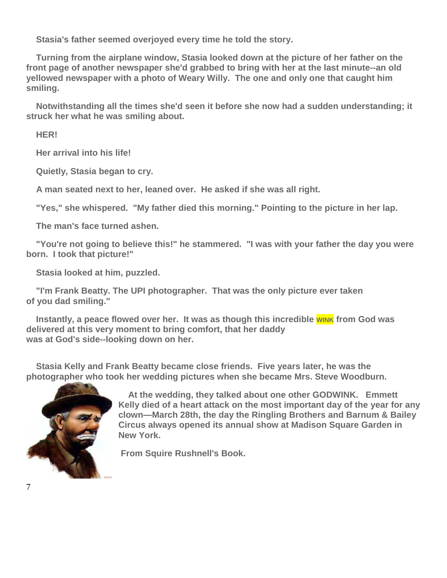**Stasia's father seemed overjoyed every time he told the story.**

 **Turning from the airplane window, Stasia looked down at the picture of her father on the front page of another newspaper she'd grabbed to bring with her at the last minute--an old yellowed newspaper with a photo of Weary Willy. The one and only one that caught him smiling.** 

 **Notwithstanding all the times she'd seen it before she now had a sudden understanding; it struck her what he was smiling about.** 

 **HER!**

 **Her arrival into his life!** 

 **Quietly, Stasia began to cry.**

 **A man seated next to her, leaned over. He asked if she was all right.**

 **"Yes," she whispered. "My father died this morning." Pointing to the picture in her lap.**

 **The man's face turned ashen.**

 **"You're not going to believe this!" he stammered. "I was with your father the day you were born. I took that picture!"** 

 **Stasia looked at him, puzzled.** 

 **"I'm Frank Beatty. The UPI photographer. That was the only picture ever taken of you dad smiling."**

 **Instantly, a peace flowed over her. It was as though this incredible <b>WINK** from God was **delivered at this very moment to bring comfort, that her daddy was at God's side--looking down on her.** 

 **Stasia Kelly and Frank Beatty became close friends. Five years later, he was the photographer who took her wedding pictures when she became Mrs. Steve Woodburn.**



 **At the wedding, they talked about one other GODWINK. Emmett Kelly died of a heart attack on the most important day of the year for any clown—March 28th, the day the Ringling Brothers and Barnum & Bailey Circus always opened its annual show at Madison Square Garden in New York.**

 **From Squire Rushnell's Book.**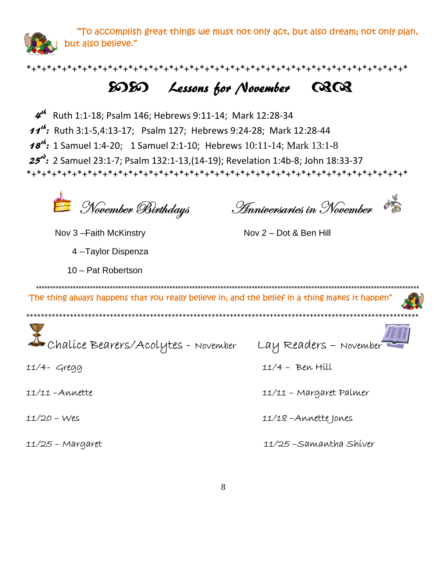"To accomplish great things we must not only act, but also dream; not only plan, but also believe."



\*+\*+\*+\*+\*+\*+\*+\*+\*+\*+\*+\*+\*+\*+\*+\*+\*+\*+\*+\*+\*+\*+\*+\*+\*+\*+\*+\*+\*+\*+\*+\*+\*+\*+\*+\*+\*+\*

# -- Lessons for November

 $4<sup>th</sup>$  Ruth 1:1-18; Psalm 146; Hebrews 9:11-14; Mark 12:28-34 11<sup>th</sup>: Ruth 3:1-5,4:13-17; Psalm 127; Hebrews 9:24-28; Mark 12:28-44  $18^{th}$ : 1 Samuel 1:4-20; 1 Samuel 2:1-10; Hebrews 10:11-14; Mark 13:1-8 25<sup>no</sup>: 2 Samuel 23:1-7; Psalm 132:1-13,(14-19); Revelation 1:4b-8; John 18:33-37 \*+\*+\*+\*+\*+\*+\*+\*+\*+\*+\*+\*+\*+\*+\*+\*+\*+\*+\*+\*+\*+\*+\*+\*+\*+\*+\*+\*+\*+\*+\*+\*+\*+\*+\*+\*+\*+\*



November Birthdays Finniversaries in November

Nov 3 – Faith McKinstry Nov 2 – Dot & Ben Hill

4 --Taylor Dispenza

10 – Pat Robertson

 \*\*\*\*\*\*\*\*\*\*\*\*\*\*\*\*\*\*\*\*\*\*\*\*\*\*\*\*\*\*\*\*\*\*\*\*\*\*\*\*\*\*\*\*\*\*\*\*\*\*\*\*\*\*\*\*\*\*\*\*\*\*\*\*\*\*\*\*\*\*\*\*\*\*\*\*\*\*\*\*\*\*\*\*\*\*\*\*\*\*\*\*\*\*\*\*\*\*\*\*\*\*\*\*\*\*\*\*\*\*\*\*\*\*\*\*\*\*\*\*\*\*\*\*\*\*\*\*\*\*\*\*\*\*\* The thing always happens that you really believe in; and the belief in a thing makes it happen"

\*\*\*\*\*\*\*\*\*\*\*\*\*\*\*\*\*\*\*\*\*\*\*\*\*\*\*\*\*\*\*\*\*\*\*\*\*\*\*\*\*\*\*\*\*\*\*\*\*\*\*\*\*\*\*\*\*\*\*\*\*\*\*\*\*\*\*\*\*\*\*\*\*\*\*\*\*\*\*\*\*\*\*\*\*\*\*\*\*\*\*\*\*\*\*\*\*\*\*\*\*\*\*\*\*\*\*\*

Chalice Bearers/Acolytes - November Lay Readers – November 11/4- Gregg 11/4 – Ben Hill

11/11 –Annette 11/11 – Margaret Palmer

11/20 – Wes 11/18 –Annette Jones

11/25 – Margaret 11/25 –Samantha Shiver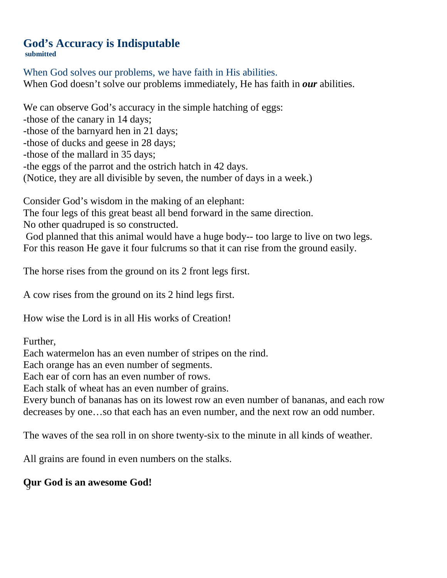## **God's Accuracy is Indisputable**

 **submitted** 

When God solves our problems, we have faith in His abilities. When God doesn't solve our problems immediately, He has faith in *our* abilities.

We can observe God's accuracy in the simple hatching of eggs:

-those of the canary in 14 days;

- -those of the barnyard hen in 21 days;
- -those of ducks and geese in 28 days;
- -those of the mallard in 35 days;

-the eggs of the parrot and the ostrich hatch in 42 days.

(Notice, they are all divisible by seven, the number of days in a week.)

Consider God's wisdom in the making of an elephant:

The four legs of this great beast all bend forward in the same direction.

No other quadruped is so constructed.

 God planned that this animal would have a huge body-- too large to live on two legs. For this reason He gave it four fulcrums so that it can rise from the ground easily.

The horse rises from the ground on its 2 front legs first.

A cow rises from the ground on its 2 hind legs first.

How wise the Lord is in all His works of Creation!

Further,

Each watermelon has an even number of stripes on the rind.

Each orange has an even number of segments.

Each ear of corn has an even number of rows.

Each stalk of wheat has an even number of grains.

Every bunch of bananas has on its lowest row an even number of bananas, and each row decreases by one…so that each has an even number, and the next row an odd number.

The waves of the sea roll in on shore twenty-six to the minute in all kinds of weather.

All grains are found in even numbers on the stalks.

# 9 **Our God is an awesome God!**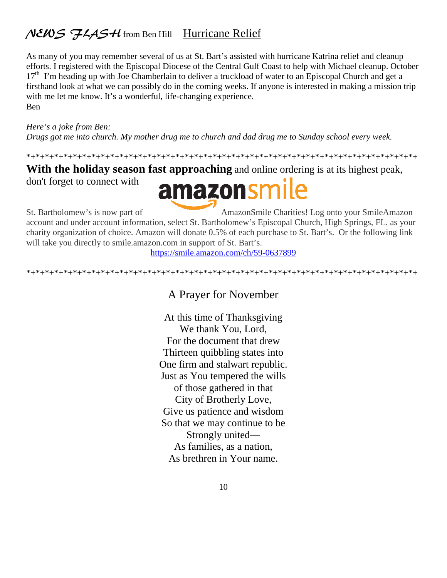## $NEMS$   $F<sub>1</sub>A<sub>5</sub>H$  from Ben Hill Hurricane Relief

As many of you may remember several of us at St. Bart's assisted with hurricane Katrina relief and cleanup efforts. I registered with the Episcopal Diocese of the Central Gulf Coast to help with Michael cleanup. October  $17<sup>th</sup>$  I'm heading up with Joe Chamberlain to deliver a truckload of water to an Episcopal Church and get a firsthand look at what we can possibly do in the coming weeks. If anyone is interested in making a mission trip with me let me know. It's a wonderful, life-changing experience. Ben

#### *Here's a joke from Ben: Drugs got me into church. My mother drug me to church and dad drug me to Sunday school every week.*

\*+\*+\*+\*+\*+\*+\*+\*+\*+\*+\*+\*+\*+\*+\*+\*+\*+\*+\*+\*+\*+\*+\*+\*+\*+\*+\*+\*+\*+\*+\*+\*+\*+\*+\*+\*+\*+\*+\*+\*+\*+\*+

**With the holiday season fast approaching** and online ordering is at its highest peak,

don't forget to connect with



St. Bartholomew's is now part of AmazonSmile Charities! Log onto your SmileAmazon account and under account information, select St. Bartholomew's Episcopal Church, High Springs, FL. as your charity organization of choice. Amazon will donate 0.5% of each purchase to St. Bart's. Or the following link will take you directly to smile.amazon.com in support of St. Bart's.

https://smile.amazon.com/ch/59-0637899

\*+\*+\*+\*+\*+\*+\*+\*+\*+\*+\*+\*+\*+\*+\*+\*+\*+\*+\*+\*+\*+\*+\*+\*+\*+\*+\*+\*+\*+\*+\*+\*+\*+\*+\*+\*+\*+\*+\*+\*+\*+\*+

A Prayer for November

At this time of Thanksgiving We thank You, Lord, For the document that drew Thirteen quibbling states into One firm and stalwart republic. Just as You tempered the wills of those gathered in that City of Brotherly Love, Give us patience and wisdom So that we may continue to be Strongly united— As families, as a nation, As brethren in Your name.